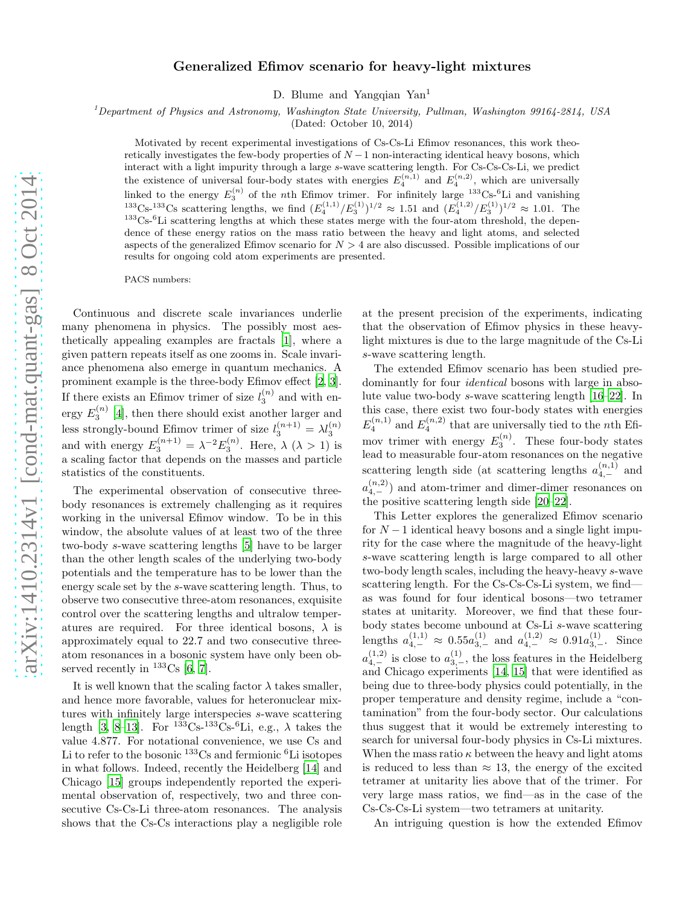# Generalized Efimov scenario for heavy-light mixtures

D. Blume and Yangqian Yan<sup>1</sup>

<sup>1</sup>Department of Physics and Astronomy, Washington State University, Pullman, Washington 99164-2814, USA

(Dated: October 10, 2014)

Motivated by recent experimental investigations of Cs-Cs-Li Efimov resonances, this work theoretically investigates the few-body properties of  $N-1$  non-interacting identical heavy bosons, which interact with a light impurity through a large s-wave scattering length. For Cs-Cs-Cs-Li, we predict the existence of universal four-body states with energies  $E_4^{(n,1)}$  and  $E_4^{(n,2)}$ , which are universally linked to the energy  $E_3^{(n)}$  of the nth Efimov trimer. For infinitely large  $^{133}$ Cs- $^{6}$ Li and vanishing <sup>133</sup>Cs-<sup>133</sup>Cs scattering lengths, we find  $(E_4^{(1,1)}/E_3^{(1)})^{1/2} \approx 1.51$  and  $(E_4^{(1,2)}/E_3^{(1)})^{1/2} \approx 1.01$ . The  $^{133}$ Cs-<sup>6</sup>Li scattering lengths at which these states merge with the four-atom threshold, the dependence of these energy ratios on the mass ratio between the heavy and light atoms, and selected aspects of the generalized Efimov scenario for  $N > 4$  are also discussed. Possible implications of our results for ongoing cold atom experiments are presented.

PACS numbers:

Continuous and discrete scale invariances underlie many phenomena in physics. The possibly most aesthetically appealing examples are fractals [\[1](#page-4-0)], where a given pattern repeats itself as one zooms in. Scale invariance phenomena also emerge in quantum mechanics. A prominent example is the three-body Efimov effect [\[2,](#page-4-1) [3\]](#page-8-0). If there exists an Efimov trimer of size  $l_3^{(n)}$  and with energy  $E_3^{(n)}$  [\[4](#page-4-2)], then there should exist another larger and less strongly-bound Efimov trimer of size  $l_3^{(n+1)} = \lambda l_3^{(n)}$ and with energy  $E_3^{(n+1)} = \lambda^{-2} E_3^{(n)}$ . Here,  $\lambda (\lambda > 1)$  is a scaling factor that depends on the masses and particle statistics of the constituents.

The experimental observation of consecutive threebody resonances is extremely challenging as it requires working in the universal Efimov window. To be in this window, the absolute values of at least two of the three two-body s-wave scattering lengths [\[5\]](#page-4-3) have to be larger than the other length scales of the underlying two-body potentials and the temperature has to be lower than the energy scale set by the s-wave scattering length. Thus, to observe two consecutive three-atom resonances, exquisite control over the scattering lengths and ultralow temperatures are required. For three identical bosons,  $\lambda$  is approximately equal to 22.7 and two consecutive threeatom resonances in a bosonic system have only been observed recently in  $^{133}Cs$  [\[6](#page-4-4), [7\]](#page-4-5).

It is well known that the scaling factor  $\lambda$  takes smaller, and hence more favorable, values for heteronuclear mixtures with infinitely large interspecies s-wave scattering length [\[3](#page-8-0), [8](#page-4-6)[–13](#page-4-7)]. For  $^{133}Cs^{-133}Cs^{-6}Li$ , e.g.,  $\lambda$  takes the value 4.877. For notational convenience, we use Cs and Li to refer to the bosonic  $^{133}$ Cs and fermionic  $^{6}$ Li isotopes in what follows. Indeed, recently the Heidelberg [\[14](#page-4-8)] and Chicago [\[15\]](#page-4-9) groups independently reported the experimental observation of, respectively, two and three consecutive Cs-Cs-Li three-atom resonances. The analysis shows that the Cs-Cs interactions play a negligible role

at the present precision of the experiments, indicating that the observation of Efimov physics in these heavylight mixtures is due to the large magnitude of the Cs-Li s-wave scattering length.

The extended Efimov scenario has been studied predominantly for four *identical* bosons with large in absolute value two-body s-wave scattering length [\[16](#page-4-10)[–22](#page-4-11)]. In this case, there exist two four-body states with energies  $E_4^{(n,1)}$  and  $E_4^{(n,2)}$  that are universally tied to the *n*th Efimov trimer with energy  $E_3^{(n)}$ . These four-body states lead to measurable four-atom resonances on the negative scattering length side (at scattering lengths  $a_{4,-}^{(n,1)}$  and  $a_{4,-}^{(n,2)}$  and atom-trimer and dimer-dimer resonances on the positive scattering length side [\[20](#page-4-12)[–22](#page-4-11)].

This Letter explores the generalized Efimov scenario for  $N-1$  identical heavy bosons and a single light impurity for the case where the magnitude of the heavy-light s-wave scattering length is large compared to all other two-body length scales, including the heavy-heavy s-wave scattering length. For the Cs-Cs-Cs-Li system, we find as was found for four identical bosons—two tetramer states at unitarity. Moreover, we find that these fourbody states become unbound at Cs-Li s-wave scattering lengths  $a_{4,-}^{(1,1)} \approx 0.55 a_{3,-}^{(1)}$  and  $a_{4,-}^{(1,2)} \approx 0.91 a_{3,-}^{(1)}$ . Since  $a_{4,-}^{(1,2)}$  is close to  $a_{3,-}^{(1)}$ , the loss features in the Heidelberg and Chicago experiments [\[14](#page-4-8), [15](#page-4-9)] that were identified as being due to three-body physics could potentially, in the proper temperature and density regime, include a "contamination" from the four-body sector. Our calculations thus suggest that it would be extremely interesting to search for universal four-body physics in Cs-Li mixtures. When the mass ratio  $\kappa$  between the heavy and light atoms is reduced to less than  $\approx$  13, the energy of the excited tetramer at unitarity lies above that of the trimer. For very large mass ratios, we find—as in the case of the Cs-Cs-Cs-Li system—two tetramers at unitarity.

An intriguing question is how the extended Efimov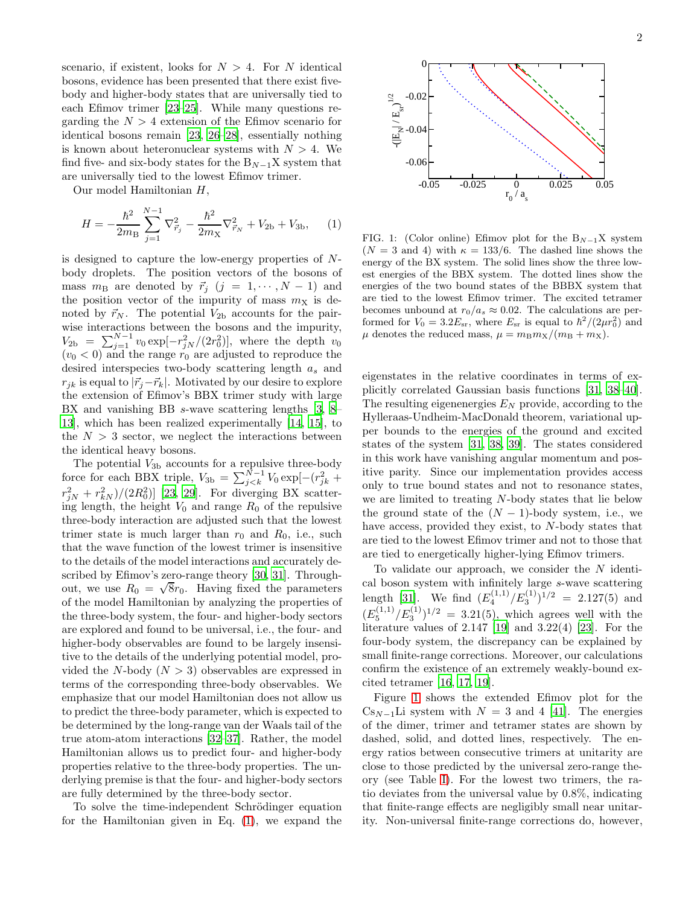scenario, if existent, looks for  $N > 4$ . For N identical bosons, evidence has been presented that there exist fivebody and higher-body states that are universally tied to each Efimov trimer [\[23](#page-8-1)[–25\]](#page-4-13). While many questions regarding the  $N > 4$  extension of the Efimov scenario for identical bosons remain [\[23](#page-8-1), [26](#page-4-14)[–28](#page-4-15)], essentially nothing is known about heteronuclear systems with  $N > 4$ . We find five- and six-body states for the  $B_{N-1}X$  system that are universally tied to the lowest Efimov trimer.

Our model Hamiltonian H,

$$
H = -\frac{\hbar^2}{2m_\text{B}} \sum_{j=1}^{N-1} \nabla_{\vec{r}_j}^2 - \frac{\hbar^2}{2m_\text{X}} \nabla_{\vec{r}_N}^2 + V_{2\text{b}} + V_{3\text{b}}, \quad (1)
$$

is designed to capture the low-energy properties of Nbody droplets. The position vectors of the bosons of mass  $m_{\text{B}}$  are denoted by  $\vec{r}_i$   $(j = 1, \dots, N - 1)$  and the position vector of the impurity of mass  $m<sub>X</sub>$  is denoted by  $\vec{r}_N$ . The potential  $V_{2b}$  accounts for the pairwise interactions between the bosons and the impurity,  $V_{2b} = \sum_{j=1}^{N-1} v_0 \exp[-r_{jN}^2/(2r_0^2)],$  where the depth  $v_0$  $(v_0 < 0)$  and the range  $r_0$  are adjusted to reproduce the desired interspecies two-body scattering length  $a_s$  and  $r_{jk}$  is equal to  $|\vec{r}_j-\vec{r}_k|$ . Motivated by our desire to explore the extension of Efimov's BBX trimer study with large BX and vanishing BB s-wave scattering lengths [\[3,](#page-8-0) [8](#page-4-6)– [13\]](#page-4-7), which has been realized experimentally [\[14,](#page-4-8) [15\]](#page-4-9), to the  $N > 3$  sector, we neglect the interactions between the identical heavy bosons.

The potential  $V_{3b}$  accounts for a repulsive three-body force for each BBX triple,  $V_{3b} = \sum_{j < k}^{N-1} V_0 \exp[-(r_{jk}^2 +$  $(r_{jN}^2 + r_{kN}^2)/(2R_0^2)$ ] [\[23,](#page-8-1) [29\]](#page-4-16). For diverging BX scattering length, the height  $V_0$  and range  $R_0$  of the repulsive three-body interaction are adjusted such that the lowest trimer state is much larger than  $r_0$  and  $R_0$ , i.e., such that the wave function of the lowest trimer is insensitive to the details of the model interactions and accurately described by Efimov's zero-range theory [\[30,](#page-4-17) [31](#page-4-18)]. Throughout, we use  $R_0 = \sqrt{8}r_0$ . Having fixed the parameters of the model Hamiltonian by analyzing the properties of the three-body system, the four- and higher-body sectors are explored and found to be universal, i.e., the four- and higher-body observables are found to be largely insensitive to the details of the underlying potential model, provided the N-body  $(N > 3)$  observables are expressed in terms of the corresponding three-body observables. We emphasize that our model Hamiltonian does not allow us to predict the three-body parameter, which is expected to be determined by the long-range van der Waals tail of the true atom-atom interactions [\[32](#page-4-19)[–37\]](#page-4-20). Rather, the model Hamiltonian allows us to predict four- and higher-body properties relative to the three-body properties. The underlying premise is that the four- and higher-body sectors are fully determined by the three-body sector.

To solve the time-independent Schrödinger equation for the Hamiltonian given in Eq. [\(1\)](#page-6-0), we expand the



FIG. 1: (Color online) Efimov plot for the  $B_{N-1}X$  system  $(N = 3$  and 4) with  $\kappa = 133/6$ . The dashed line shows the energy of the BX system. The solid lines show the three lowest energies of the BBX system. The dotted lines show the energies of the two bound states of the BBBX system that are tied to the lowest Efimov trimer. The excited tetramer becomes unbound at  $r_0/a_s \approx 0.02$ . The calculations are performed for  $V_0 = 3.2 E_{\rm sr}$ , where  $E_{\rm sr}$  is equal to  $\hbar^2/(2\mu r_0^2)$  and  $\mu$  denotes the reduced mass,  $\mu = m_{\text{B}} m_{\text{X}}/(m_{\text{B}} + m_{\text{X}})$ .

eigenstates in the relative coordinates in terms of explicitly correlated Gaussian basis functions [\[31,](#page-4-18) [38](#page-8-2)[–40\]](#page-4-21). The resulting eigenenergies  $E<sub>N</sub>$  provide, according to the Hylleraas-Undheim-MacDonald theorem, variational upper bounds to the energies of the ground and excited states of the system [\[31,](#page-4-18) [38,](#page-8-2) [39](#page-8-3)]. The states considered in this work have vanishing angular momentum and positive parity. Since our implementation provides access only to true bound states and not to resonance states, we are limited to treating N-body states that lie below the ground state of the  $(N-1)$ -body system, i.e., we have access, provided they exist, to N-body states that are tied to the lowest Efimov trimer and not to those that are tied to energetically higher-lying Efimov trimers.

To validate our approach, we consider the  $N$  identical boson system with infinitely large s-wave scattering length [\[31\]](#page-4-18). We find  $(E_4^{(1,1)}/E_3^{(1)})^{1/2} = 2.127(5)$  and  $(E_5^{(1,1)}/E_3^{(1)})^{1/2} = 3.21(5)$ , which agrees well with the literature values of 2.147 [\[19\]](#page-8-4) and 3.22(4) [\[23\]](#page-8-1). For the four-body system, the discrepancy can be explained by small finite-range corrections. Moreover, our calculations confirm the existence of an extremely weakly-bound excited tetramer [\[16](#page-4-10), [17](#page-4-22), [19](#page-8-4)].

Figure [1](#page-7-0) shows the extended Efimov plot for the  $Cs_{N-1}$ Li system with  $N = 3$  and 4 [\[41\]](#page-4-23). The energies of the dimer, trimer and tetramer states are shown by dashed, solid, and dotted lines, respectively. The energy ratios between consecutive trimers at unitarity are close to those predicted by the universal zero-range theory (see Table [I\)](#page-2-0). For the lowest two trimers, the ratio deviates from the universal value by 0.8%, indicating that finite-range effects are negligibly small near unitarity. Non-universal finite-range corrections do, however,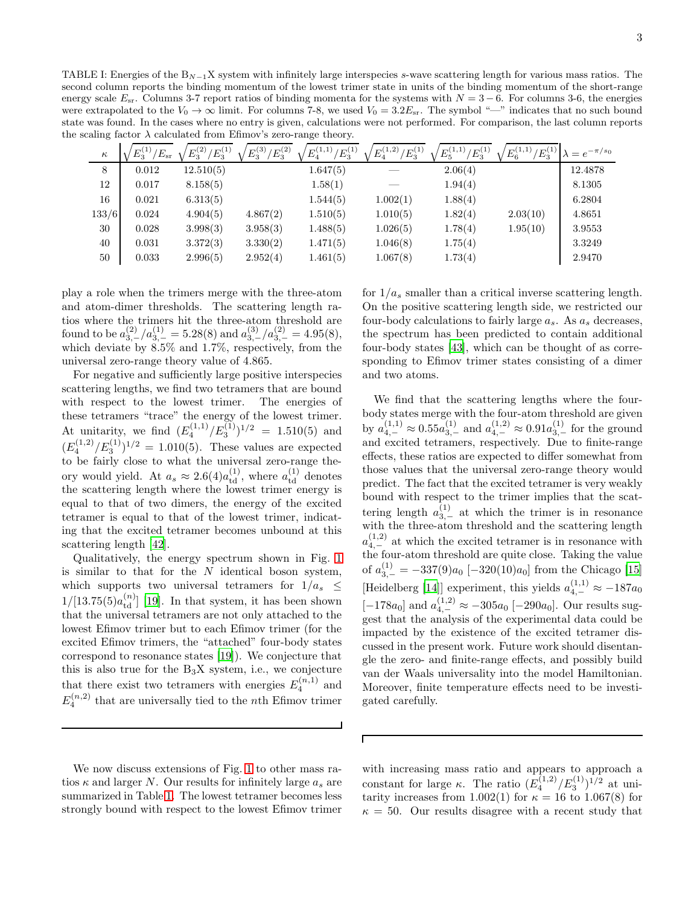<span id="page-2-0"></span>TABLE I: Energies of the  $B_{N-1}X$  system with infinitely large interspecies s-wave scattering length for various mass ratios. The second column reports the binding momentum of the lowest trimer state in units of the binding momentum of the short-range energy scale  $E_{sr}$ . Columns 3-7 report ratios of binding momenta for the systems with  $N = 3 - 6$ . For columns 3-6, the energies were extrapolated to the  $V_0 \rightarrow \infty$  limit. For columns 7-8, we used  $V_0 = 3.2E_{sr}$ . The symbol "—" indicates that no such bound state was found. In the cases where no entry is given, calculations were not performed. For comparison, the last column reports the scaling factor  $\lambda$  calculated from Efimov's zero-range theory.

| $\kappa$ | $E_3^{(1)}$<br>$^{\prime}E_{\rm sr}$ | $E_3^{(2)}$<br>$/E_3^{(1)}$ | $E_3^{(3)}$<br>$^{\prime}E_3^{(2)}$ | $E_4^{(1,1)}/$<br>$\langle E_{3}^{(1)}\rangle$ | $E_4^{(1,2)}/E_3^{(1)}$ | $^{\prime}E_3^{(1)}$<br>$E_5^{(1,1)}$ | $E_3^{(1)}$<br>$E_6^{(1,1)}$ | $\lambda = e^{-\pi/s_0}$ |
|----------|--------------------------------------|-----------------------------|-------------------------------------|------------------------------------------------|-------------------------|---------------------------------------|------------------------------|--------------------------|
| 8        | 0.012                                | 12.510(5)                   |                                     | 1.647(5)                                       |                         | 2.06(4)                               |                              | 12.4878                  |
| 12       | 0.017                                | 8.158(5)                    |                                     | 1.58(1)                                        |                         | 1.94(4)                               |                              | 8.1305                   |
| 16       | 0.021                                | 6.313(5)                    |                                     | 1.544(5)                                       | 1.002(1)                | 1.88(4)                               |                              | 6.2804                   |
| 133/6    | 0.024                                | 4.904(5)                    | 4.867(2)                            | 1.510(5)                                       | 1.010(5)                | 1.82(4)                               | 2.03(10)                     | 4.8651                   |
| 30       | 0.028                                | 3.998(3)                    | 3.958(3)                            | 1.488(5)                                       | 1.026(5)                | 1.78(4)                               | 1.95(10)                     | 3.9553                   |
| 40       | 0.031                                | 3.372(3)                    | 3.330(2)                            | 1.471(5)                                       | 1.046(8)                | 1.75(4)                               |                              | 3.3249                   |
| 50       | 0.033                                | 2.996(5)                    | 2.952(4)                            | 1.461(5)                                       | 1.067(8)                | 1.73(4)                               |                              | 2.9470                   |

Г

play a role when the trimers merge with the three-atom and atom-dimer thresholds. The scattering length ratios where the trimers hit the three-atom threshold are found to be  $a_{3,-}^{(2)}/a_{3,-}^{(1)} = 5.28(8)$  and  $a_{3,-}^{(3)}/a_{3,-}^{(2)} = 4.95(8)$ , which deviate by 8.5% and 1.7%, respectively, from the universal zero-range theory value of 4.865.

For negative and sufficiently large positive interspecies scattering lengths, we find two tetramers that are bound with respect to the lowest trimer. The energies of these tetramers "trace" the energy of the lowest trimer. At unitarity, we find  $(E_4^{(1,1)}/E_3^{(1)})^{1/2} = 1.510(5)$  and  $(E_4^{(1,2)}/E_3^{(1)})^{1/2} = 1.010(5)$ . These values are expected to be fairly close to what the universal zero-range theory would yield. At  $a_s \approx 2.6(4) a_{\text{td}}^{(1)}$ , where  $a_{\text{td}}^{(1)}$  denotes the scattering length where the lowest trimer energy is equal to that of two dimers, the energy of the excited tetramer is equal to that of the lowest trimer, indicating that the excited tetramer becomes unbound at this scattering length [\[42](#page-4-24)].

Qualitatively, the energy spectrum shown in Fig. [1](#page-7-0) is similar to that for the  $N$  identical boson system, which supports two universal tetramers for  $1/a_s \leq$  $1/[13.75(5)a_{\text{td}}^{(n)}]$  [\[19](#page-8-4)]. In that system, it has been shown that the universal tetramers are not only attached to the lowest Efimov trimer but to each Efimov trimer (for the excited Efimov trimers, the "attached" four-body states correspond to resonance states [\[19\]](#page-8-4)). We conjecture that this is also true for the  $B_3X$  system, i.e., we conjecture that there exist two tetramers with energies  $E_4^{(n,1)}$  and  $E_4^{(n,2)}$  that are universally tied to the *n*th Efimov trimer

We now discuss extensions of Fig. [1](#page-7-0) to other mass ratios  $\kappa$  and larger N. Our results for infinitely large  $a_s$  are summarized in Table [1.](#page-7-0) The lowest tetramer becomes less strongly bound with respect to the lowest Efimov trimer

for  $1/a_s$  smaller than a critical inverse scattering length. On the positive scattering length side, we restricted our four-body calculations to fairly large  $a_s$ . As  $a_s$  decreases, the spectrum has been predicted to contain additional four-body states [\[43\]](#page-4-25), which can be thought of as corresponding to Efimov trimer states consisting of a dimer and two atoms.

We find that the scattering lengths where the fourbody states merge with the four-atom threshold are given by  $a_{4,-}^{(1,1)} \approx 0.55 a_{3,-}^{(1)}$  and  $a_{4,-}^{(1,2)} \approx 0.91 a_{3,-}^{(1)}$  for the ground and excited tetramers, respectively. Due to finite-range effects, these ratios are expected to differ somewhat from those values that the universal zero-range theory would predict. The fact that the excited tetramer is very weakly bound with respect to the trimer implies that the scattering length  $a_{3,-}^{(1)}$  at which the trimer is in resonance with the three-atom threshold and the scattering length  $a_{4,-}^{(1,2)}$  at which the excited tetramer is in resonance with the four-atom threshold are quite close. Taking the value of  $a_{3,-}^{(1)} = -337(9)a_0$  [-320(10)a<sub>0</sub>] from the Chicago [\[15](#page-4-9)] [Heidelberg [\[14\]](#page-4-8)] experiment, this yields  $a_{4,-}^{(1,1)} \approx -187a_0$  $[-178a_0]$  and  $a_{4,-}^{(1,2)} \approx -305a_0$  [-290a<sub>0</sub>]. Our results suggest that the analysis of the experimental data could be impacted by the existence of the excited tetramer discussed in the present work. Future work should disentangle the zero- and finite-range effects, and possibly build van der Waals universality into the model Hamiltonian. Moreover, finite temperature effects need to be investigated carefully.

with increasing mass ratio and appears to approach a constant for large  $\kappa$ . The ratio  $(E_4^{(1,2)}/E_3^{(1)})^{1/2}$  at unitarity increases from 1.002(1) for  $\kappa = 16$  to 1.067(8) for  $\kappa = 50$ . Our results disagree with a recent study that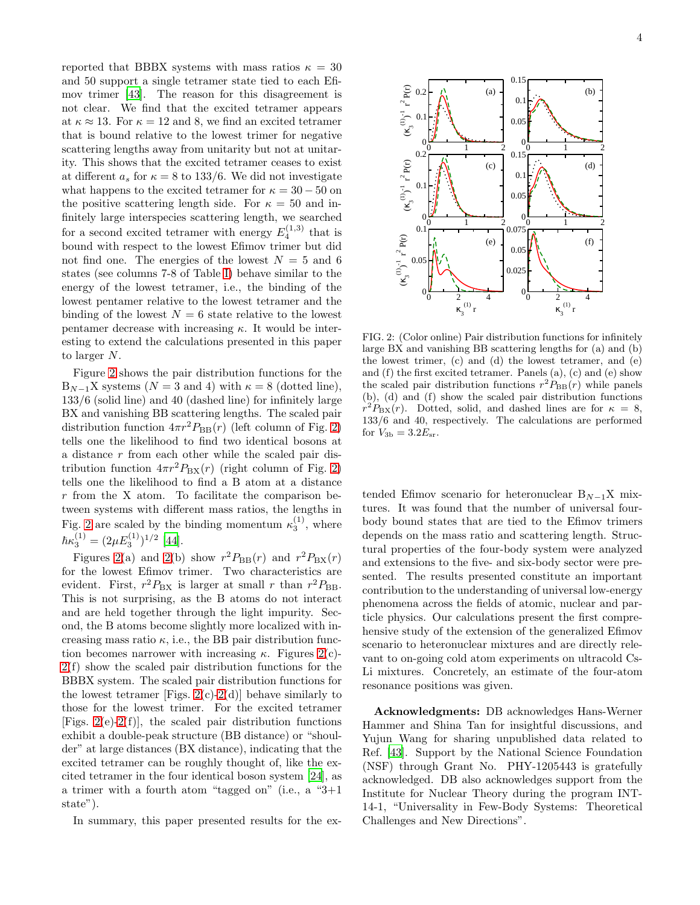reported that BBBX systems with mass ratios  $\kappa = 30$ and 50 support a single tetramer state tied to each Efimov trimer [\[43](#page-4-25)]. The reason for this disagreement is not clear. We find that the excited tetramer appears at  $\kappa \approx 13$ . For  $\kappa = 12$  and 8, we find an excited tetramer that is bound relative to the lowest trimer for negative scattering lengths away from unitarity but not at unitarity. This shows that the excited tetramer ceases to exist at different  $a_s$  for  $\kappa = 8$  to 133/6. We did not investigate what happens to the excited tetramer for  $\kappa = 30 - 50$  on the positive scattering length side. For  $\kappa = 50$  and infinitely large interspecies scattering length, we searched for a second excited tetramer with energy  $E_4^{(1,3)}$  that is bound with respect to the lowest Efimov trimer but did not find one. The energies of the lowest  $N = 5$  and 6 states (see columns 7-8 of Table [I\)](#page-2-0) behave similar to the energy of the lowest tetramer, i.e., the binding of the lowest pentamer relative to the lowest tetramer and the binding of the lowest  $N = 6$  state relative to the lowest pentamer decrease with increasing  $\kappa$ . It would be interesting to extend the calculations presented in this paper to larger N.

Figure [2](#page-8-5) shows the pair distribution functions for the  $B_{N-1}X$  systems  $(N = 3$  and 4) with  $\kappa = 8$  (dotted line), 133/6 (solid line) and 40 (dashed line) for infinitely large BX and vanishing BB scattering lengths. The scaled pair distribution function  $4\pi r^2 P_{\text{BB}}(r)$  (left column of Fig. [2\)](#page-8-5) tells one the likelihood to find two identical bosons at a distance r from each other while the scaled pair distribution function  $4\pi r^2 P_{\rm BX}(r)$  (right column of Fig. [2\)](#page-8-5) tells one the likelihood to find a B atom at a distance  $r$  from the X atom. To facilitate the comparison between systems with different mass ratios, the lengths in Fig. [2](#page-8-5) are scaled by the binding momentum  $\kappa_3^{(1)}$ , where  $\hbar \kappa_3^{(1)} = (2 \mu E_3^{(1)})^{1/2}$  [\[44](#page-5-0)].

Figures [2\(](#page-8-5)a) and 2(b) show  $r^2 P_{\text{BB}}(r)$  and  $r^2 P_{\text{BX}}(r)$ for the lowest Efimov trimer. Two characteristics are evident. First,  $r^2 P_{\text{BX}}$  is larger at small r than  $r^2 P_{\text{BB}}$ . This is not surprising, as the B atoms do not interact and are held together through the light impurity. Second, the B atoms become slightly more localized with increasing mass ratio  $\kappa$ , i.e., the BB pair distribution function becomes narrower with increasing  $\kappa$ . Figures [2\(](#page-8-5)c)-[2\(](#page-8-5)f) show the scaled pair distribution functions for the BBBX system. The scaled pair distribution functions for the lowest tetramer [Figs. [2\(](#page-8-5)c)[-2\(](#page-8-5)d)] behave similarly to those for the lowest trimer. For the excited tetramer [Figs.  $2(e) - 2(f)$  $2(e) - 2(f)$  $2(e) - 2(f)$ ], the scaled pair distribution functions exhibit a double-peak structure (BB distance) or "shoulder" at large distances (BX distance), indicating that the excited tetramer can be roughly thought of, like the excited tetramer in the four identical boson system [\[24\]](#page-4-26), as a trimer with a fourth atom "tagged on" (i.e., a "3+1 state").

In summary, this paper presented results for the ex-



FIG. 2: (Color online) Pair distribution functions for infinitely large BX and vanishing BB scattering lengths for (a) and (b) the lowest trimer, (c) and (d) the lowest tetramer, and (e) and (f) the first excited tetramer. Panels (a), (c) and (e) show the scaled pair distribution functions  $r^2 P_{\text{BB}}(r)$  while panels (b), (d) and (f) show the scaled pair distribution functions  $r^2 P_{\text{BX}}(r)$ . Dotted, solid, and dashed lines are for  $\kappa = 8$ , 133/6 and 40, respectively. The calculations are performed for  $V_{3b} = 3.2E_{sr}$ .

tended Efimov scenario for heteronuclear  $B_{N-1}X$  mixtures. It was found that the number of universal fourbody bound states that are tied to the Efimov trimers depends on the mass ratio and scattering length. Structural properties of the four-body system were analyzed and extensions to the five- and six-body sector were presented. The results presented constitute an important contribution to the understanding of universal low-energy phenomena across the fields of atomic, nuclear and particle physics. Our calculations present the first comprehensive study of the extension of the generalized Efimov scenario to heteronuclear mixtures and are directly relevant to on-going cold atom experiments on ultracold Cs-Li mixtures. Concretely, an estimate of the four-atom resonance positions was given.

Acknowledgments: DB acknowledges Hans-Werner Hammer and Shina Tan for insightful discussions, and Yujun Wang for sharing unpublished data related to Ref. [\[43](#page-4-25)]. Support by the National Science Foundation (NSF) through Grant No. PHY-1205443 is gratefully acknowledged. DB also acknowledges support from the Institute for Nuclear Theory during the program INT-14-1, "Universality in Few-Body Systems: Theoretical Challenges and New Directions".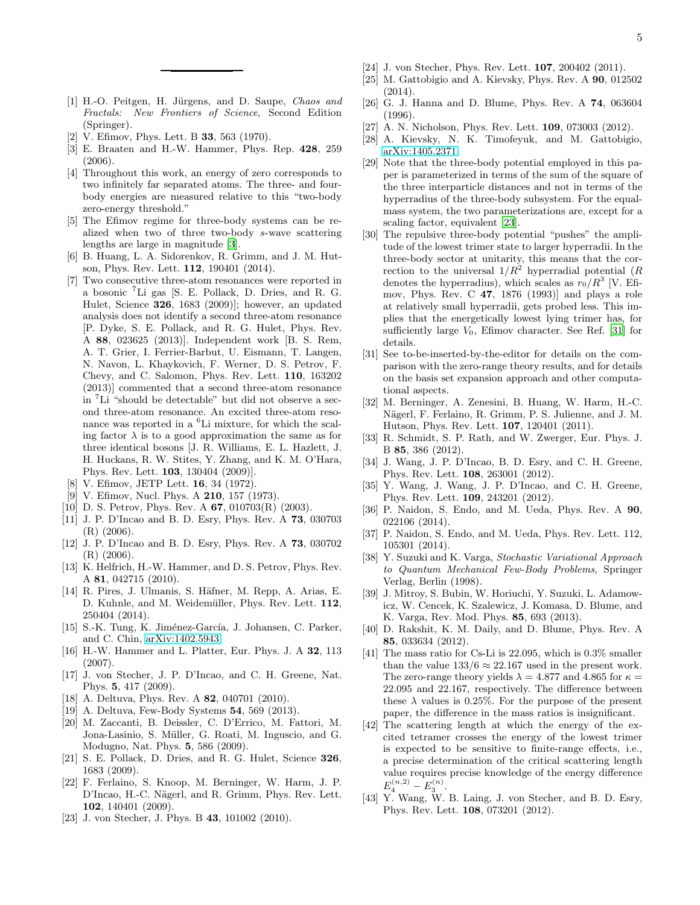- <span id="page-4-0"></span>[1] H.-O. Peitgen, H. Jürgens, and D. Saupe, Chaos and Fractals: New Frontiers of Science, Second Edition (Springer).
- <span id="page-4-1"></span>[2] V. Efimov, Phys. Lett. B 33, 563 (1970).
- [3] E. Braaten and H.-W. Hammer, Phys. Rep. 428, 259 (2006).
- <span id="page-4-2"></span>[4] Throughout this work, an energy of zero corresponds to two infinitely far separated atoms. The three- and fourbody energies are measured relative to this "two-body zero-energy threshold."
- <span id="page-4-3"></span>[5] The Efimov regime for three-body systems can be realized when two of three two-body s-wave scattering lengths are large in magnitude [\[3](#page-8-0)].
- <span id="page-4-4"></span>[6] B. Huang, L. A. Sidorenkov, R. Grimm, and J. M. Hutson, Phys. Rev. Lett. 112, 190401 (2014).
- <span id="page-4-5"></span>[7] Two consecutive three-atom resonances were reported in a bosonic <sup>7</sup>Li gas [S. E. Pollack, D. Dries, and R. G. Hulet, Science 326, 1683 (2009)]; however, an updated analysis does not identify a second three-atom resonance [P. Dyke, S. E. Pollack, and R. G. Hulet, Phys. Rev. A 88, 023625 (2013)]. Independent work [B. S. Rem, A. T. Grier, I. Ferrier-Barbut, U. Eismann, T. Langen, N. Navon, L. Khaykovich, F. Werner, D. S. Petrov, F. Chevy, and C. Salomon, Phys. Rev. Lett. 110, 163202 (2013)] commented that a second three-atom resonance in <sup>7</sup>Li "should be detectable" but did not observe a second three-atom resonance. An excited three-atom resonance was reported in a <sup>6</sup>Li mixture, for which the scaling factor  $\lambda$  is to a good approximation the same as for three identical bosons [J. R. Williams, E. L. Hazlett, J. H. Huckans, R. W. Stites, Y. Zhang, and K. M. O'Hara, Phys. Rev. Lett. 103, 130404 (2009)].
- <span id="page-4-6"></span>[8] V. Efimov, JETP Lett. 16, 34 (1972).
- [9] V. Efimov, Nucl. Phys. A **210**, 157 (1973).
- [10] D. S. Petrov, Phys. Rev. A 67, 010703(R) (2003).
- [11] J. P. D'Incao and B. D. Esry, Phys. Rev. A 73, 030703 (R) (2006).
- [12] J. P. D'Incao and B. D. Esry, Phys. Rev. A 73, 030702 (R) (2006).
- <span id="page-4-7"></span>[13] K. Helfrich, H.-W. Hammer, and D. S. Petrov, Phys. Rev. A 81, 042715 (2010).
- <span id="page-4-8"></span>[14] R. Pires, J. Ulmanis, S. Häfner, M. Repp, A. Arias, E. D. Kuhnle, and M. Weidemüller, Phys. Rev. Lett. 112, 250404 (2014).
- <span id="page-4-9"></span>[15] S.-K. Tung, K. Jiménez-García, J. Johansen, C. Parker, and C. Chin, [arXiv:1402.5943.](http://arxiv.org/abs/1402.5943)
- <span id="page-4-10"></span>[16] H.-W. Hammer and L. Platter, Eur. Phys. J. A 32, 113 (2007).
- <span id="page-4-22"></span>[17] J. von Stecher, J. P. D'Incao, and C. H. Greene, Nat. Phys. 5, 417 (2009).
- [18] A. Deltuva, Phys. Rev. A **82**, 040701 (2010).
- [19] A. Deltuva, Few-Body Systems 54, 569 (2013).
- <span id="page-4-12"></span>[20] M. Zaccanti, B. Deissler, C. D'Errico, M. Fattori, M. Jona-Lasinio, S. Müller, G. Roati, M. Inguscio, and G. Modugno, Nat. Phys. 5, 586 (2009).
- [21] S. E. Pollack, D. Dries, and R. G. Hulet, Science 326, 1683 (2009).
- <span id="page-4-11"></span>[22] F. Ferlaino, S. Knoop, M. Berninger, W. Harm, J. P. D'Incao, H.-C. Nägerl, and R. Grimm, Phys. Rev. Lett. 102, 140401 (2009).
- [23] J. von Stecher, J. Phys. B 43, 101002 (2010).
- <span id="page-4-26"></span>[24] J. von Stecher, Phys. Rev. Lett. **107**, 200402 (2011).
- <span id="page-4-13"></span>[25] M. Gattobigio and A. Kievsky, Phys. Rev. A 90, 012502 (2014).
- <span id="page-4-14"></span>[26] G. J. Hanna and D. Blume, Phys. Rev. A 74, 063604 (1996).
- [27] A. N. Nicholson, Phys. Rev. Lett. **109**, 073003 (2012).
- <span id="page-4-15"></span>[28] A. Kievsky, N. K. Timofeyuk, and M. Gattobigio, [arXiv:1405.2371.](http://arxiv.org/abs/1405.2371)
- <span id="page-4-16"></span>[29] Note that the three-body potential employed in this paper is parameterized in terms of the sum of the square of the three interparticle distances and not in terms of the hyperradius of the three-body subsystem. For the equalmass system, the two parameterizations are, except for a scaling factor, equivalent [\[23](#page-8-1)].
- <span id="page-4-17"></span>[30] The repulsive three-body potential "pushes" the amplitude of the lowest trimer state to larger hyperradii. In the three-body sector at unitarity, this means that the correction to the universal  $1/R^2$  hyperradial potential (R denotes the hyperradius), which scales as  $r_0/R^3$  [V. Efimov, Phys. Rev. C 47, 1876 (1993)] and plays a role at relatively small hyperradii, gets probed less. This implies that the energetically lowest lying trimer has, for sufficiently large  $V_0$ , Efimov character. See Ref. [\[31\]](#page-4-18) for details.
- <span id="page-4-18"></span>[31] See to-be-inserted-by-the-editor for details on the comparison with the zero-range theory results, and for details on the basis set expansion approach and other computational aspects.
- <span id="page-4-19"></span>[32] M. Berninger, A. Zenesini, B. Huang, W. Harm, H.-C. Nägerl, F. Ferlaino, R. Grimm, P. S. Julienne, and J. M. Hutson, Phys. Rev. Lett. 107, 120401 (2011).
- [33] R. Schmidt, S. P. Rath, and W. Zwerger, Eur. Phys. J. B 85, 386 (2012).
- [34] J. Wang, J. P. D'Incao, B. D. Esry, and C. H. Greene, Phys. Rev. Lett. 108, 263001 (2012).
- [35] Y. Wang, J. Wang, J. P. D'Incao, and C. H. Greene, Phys. Rev. Lett. 109, 243201 (2012).
- [36] P. Naidon, S. Endo, and M. Ueda, Phys. Rev. A 90, 022106 (2014).
- <span id="page-4-20"></span>[37] P. Naidon, S. Endo, and M. Ueda, Phys. Rev. Lett. 112, 105301 (2014).
- [38] Y. Suzuki and K. Varga, Stochastic Variational Approach to Quantum Mechanical Few-Body Problems, Springer Verlag, Berlin (1998).
- [39] J. Mitroy, S. Bubin, W. Horiuchi, Y. Suzuki, L. Adamowicz, W. Cencek, K. Szalewicz, J. Komasa, D. Blume, and K. Varga, Rev. Mod. Phys. 85, 693 (2013).
- <span id="page-4-21"></span>[40] D. Rakshit, K. M. Daily, and D. Blume, Phys. Rev. A 85, 033634 (2012).
- <span id="page-4-23"></span>[41] The mass ratio for Cs-Li is 22.095, which is  $0.3\%$  smaller than the value  $133/6 \approx 22.167$  used in the present work. The zero-range theory yields  $\lambda = 4.877$  and 4.865 for  $\kappa =$ 22.095 and 22.167, respectively. The difference between these  $\lambda$  values is 0.25%. For the purpose of the present paper, the difference in the mass ratios is insignificant.
- <span id="page-4-24"></span>[42] The scattering length at which the energy of the excited tetramer crosses the energy of the lowest trimer is expected to be sensitive to finite-range effects, i.e., a precise determination of the critical scattering length value requires precise knowledge of the energy difference  $E_4^{(n,2)} - E_3^{(n)}.$
- <span id="page-4-25"></span>[43] Y. Wang, W. B. Laing, J. von Stecher, and B. D. Esry, Phys. Rev. Lett. 108, 073201 (2012).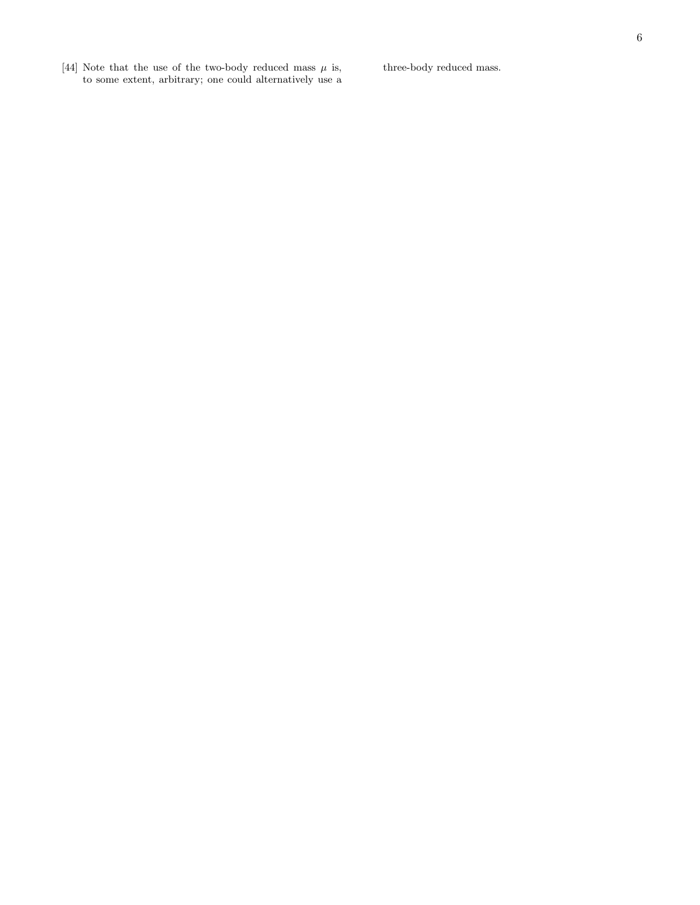<span id="page-5-0"></span>[44] Note that the use of the two-body reduced mass  $\mu$  is, to some extent, arbitrary; one could alternatively use a three-body reduced mass.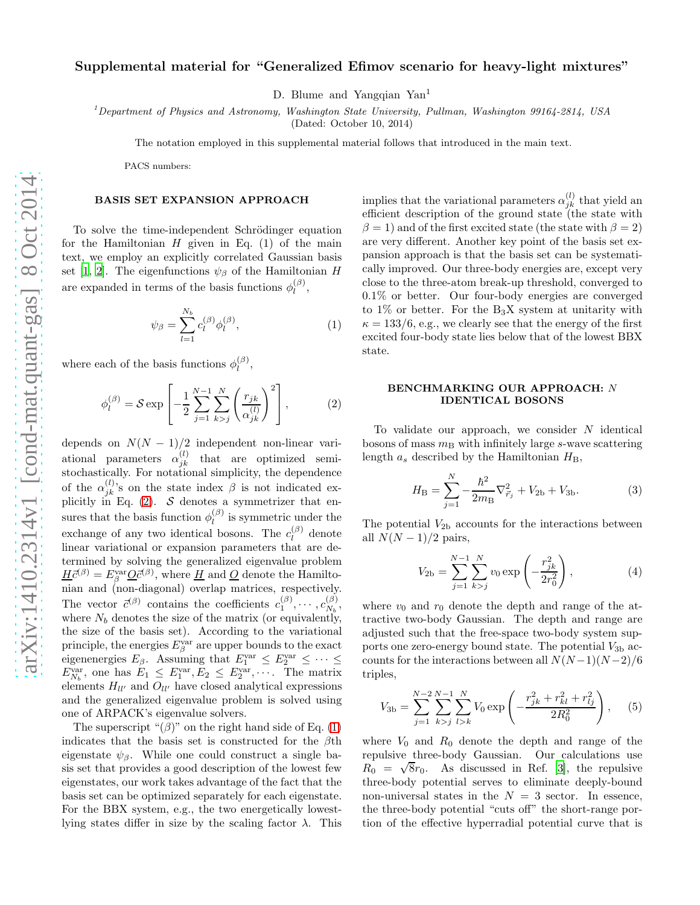# Supplemental material for "Generalized Efimov scenario for heavy-light mixtures"

D. Blume and Yangqian Yan<sup>1</sup>

<sup>1</sup>Department of Physics and Astronomy, Washington State University, Pullman, Washington 99164-2814, USA

(Dated: October 10, 2014)

The notation employed in this supplemental material follows that introduced in the main text.

PACS numbers:

#### BASIS SET EXPANSION APPROACH

To solve the time-independent Schrödinger equation for the Hamiltonian  $H$  given in Eq. (1) of the main text, we employ an explicitly correlated Gaussian basis set [\[1,](#page-8-2) [2](#page-8-3)]. The eigenfunctions  $\psi_{\beta}$  of the Hamiltonian H are expanded in terms of the basis functions  $\phi_l^{(\beta)}$  $\mathop{l\phantom{\beta}}\limits^{(\beta)}$ 

<span id="page-6-0"></span>
$$
\psi_{\beta} = \sum_{l=1}^{N_b} c_l^{(\beta)} \phi_l^{(\beta)},\tag{1}
$$

where each of the basis functions  $\phi_l^{(\beta)}$  $l^{(\rho)},$ 

<span id="page-6-1"></span>
$$
\phi_l^{(\beta)} = \mathcal{S} \exp\left[ -\frac{1}{2} \sum_{j=1}^{N-1} \sum_{k>j}^N \left( \frac{r_{jk}}{\alpha_{jk}^{(l)}} \right)^2 \right],\tag{2}
$$

depends on  $N(N-1)/2$  independent non-linear variational parameters  $\alpha_{jk}^{(l)}$  that are optimized semistochastically. For notational simplicity, the dependence of the  $\alpha_{jk}^{(l)}$ 's on the state index  $\beta$  is not indicated explicitly in Eq.  $(2)$ . S denotes a symmetrizer that ensures that the basis function  $\phi_l^{(\beta)}$  $\mu^{(\rho)}$  is symmetric under the exchange of any two identical bosons. The  $c_l^{(\beta)}$  $l_l^{(\rho)}$  denote linear variational or expansion parameters that are determined by solving the generalized eigenvalue problem  $\underline{H}\bar{c}^{(\beta)} = E^{\text{var}}_{\beta}\underline{O}\bar{c}^{(\beta)}$ , where  $\underline{H}$  and  $\underline{O}$  denote the Hamiltonian and (non-diagonal) overlap matrices, respectively. The vector  $\bar{c}^{(\beta)}$  contains the coefficients  $c_1^{(\beta)}, \cdots, c_{N_b}^{(\beta)}$  $\frac{(\rho)}{N_b},$ where  $N_b$  denotes the size of the matrix (or equivalently, the size of the basis set). According to the variational principle, the energies  $E^{\text{var}}_{\beta}$  are upper bounds to the exact eigenenergies  $E_{\beta}$ . Assuming that  $E_1^{\text{var}} \leq E_2^{\text{var}} \leq \cdots \leq$  $E_{N_b}^{\text{var}},$  one has  $E_1 \leq E_1^{\text{var}}, E_2 \leq E_2^{\text{var}}, \cdots$ . The matrix elements  $H_{ll'}$  and  $O_{ll'}$  have closed analytical expressions and the generalized eigenvalue problem is solved using one of ARPACK's eigenvalue solvers.

The superscript " $(\beta)$ " on the right hand side of Eq. [\(1\)](#page-6-0) indicates that the basis set is constructed for the  $\beta$ th eigenstate  $\psi_{\beta}$ . While one could construct a single basis set that provides a good description of the lowest few eigenstates, our work takes advantage of the fact that the basis set can be optimized separately for each eigenstate. For the BBX system, e.g., the two energetically lowestlying states differ in size by the scaling factor  $\lambda$ . This

implies that the variational parameters  $\alpha_{jk}^{(l)}$  that yield an efficient description of the ground state (the state with  $\beta = 1$ ) and of the first excited state (the state with  $\beta = 2$ ) are very different. Another key point of the basis set expansion approach is that the basis set can be systematically improved. Our three-body energies are, except very close to the three-atom break-up threshold, converged to 0.1% or better. Our four-body energies are converged to 1% or better. For the  $B_3X$  system at unitarity with  $\kappa = 133/6$ , e.g., we clearly see that the energy of the first excited four-body state lies below that of the lowest BBX state.

### BENCHMARKING OUR APPROACH: N IDENTICAL BOSONS

To validate our approach, we consider  $N$  identical bosons of mass  $m<sub>B</sub>$  with infinitely large s-wave scattering length  $a_s$  described by the Hamiltonian  $H_B$ ,

<span id="page-6-2"></span>
$$
H_{\rm B} = \sum_{j=1}^{N} -\frac{\hbar^2}{2m_{\rm B}} \nabla_{\vec{r}_j}^2 + V_{\rm 2b} + V_{\rm 3b}.
$$
 (3)

The potential  $V_{2b}$  accounts for the interactions between all  $N(N-1)/2$  pairs,

$$
V_{2b} = \sum_{j=1}^{N-1} \sum_{k>j}^{N} v_0 \exp\left(-\frac{r_{jk}^2}{2r_0^2}\right),
$$
 (4)

where  $v_0$  and  $r_0$  denote the depth and range of the attractive two-body Gaussian. The depth and range are adjusted such that the free-space two-body system supports one zero-energy bound state. The potential  $V_{3b}$  accounts for the interactions between all  $N(N-1)(N-2)/6$ triples,

$$
V_{3b} = \sum_{j=1}^{N-2} \sum_{k>j}^{N-1} \sum_{l>k}^{N} V_0 \exp\left(-\frac{r_{jk}^2 + r_{kl}^2 + r_{lj}^2}{2R_0^2}\right), \quad (5)
$$

where  $V_0$  and  $R_0$  denote the depth and range of the repulsive three-body Gaussian. Our calculations use  $R_0 = \sqrt{8}r_0$ . As discussed in Ref. [\[3\]](#page-8-1), the repulsive three-body potential serves to eliminate deeply-bound non-universal states in the  $N = 3$  sector. In essence, the three-body potential "cuts off" the short-range portion of the effective hyperradial potential curve that is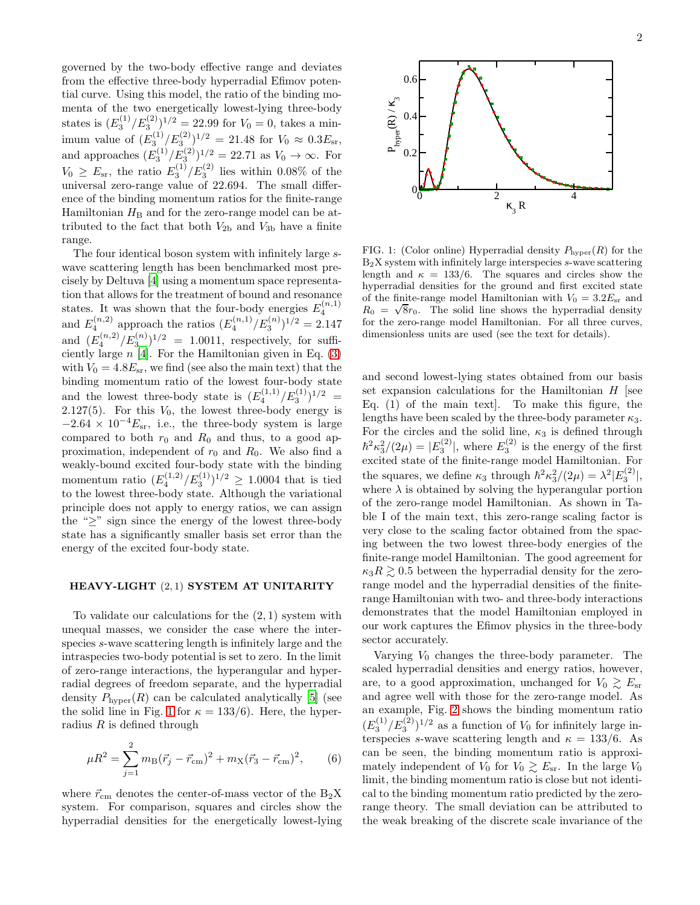governed by the two-body effective range and deviates from the effective three-body hyperradial Efimov potential curve. Using this model, the ratio of the binding momenta of the two energetically lowest-lying three-body states is  $(E_3^{(1)}/E_3^{(2)})^{1/2} = 22.99$  for  $V_0 = 0$ , takes a minimum value of  $(E_3^{(1)}/E_3^{(2)})^{1/2} = 21.48$  for  $V_0 \approx 0.3 E_{\rm sr}$ , and approaches  $(E_3^{(1)}/E_3^{(2)})^{1/2} = 22.71$  as  $V_0 \to \infty$ . For  $V_0 \ge E_{\rm sr}$ , the ratio  $E_3^{(1)}/E_3^{(2)}$  lies within 0.08% of the universal zero-range value of 22.694. The small difference of the binding momentum ratios for the finite-range Hamiltonian  $H<sub>B</sub>$  and for the zero-range model can be attributed to the fact that both  $V_{2b}$  and  $V_{3b}$  have a finite range.

The four identical boson system with infinitely large swave scattering length has been benchmarked most precisely by Deltuva [\[4\]](#page-8-4) using a momentum space representation that allows for the treatment of bound and resonance states. It was shown that the four-body energies  $E_4^{(n,1)}$ 4 and  $E_4^{(n,2)}$  approach the ratios  $(E_4^{(n,1)}/E_3^{(n)})^{1/2} = 2.147$ and  $(E_4^{(n,2)}/E_3^{(n)})^{1/2} = 1.0011$ , respectively, for sufficiently large  $n$  [\[4\]](#page-8-4). For the Hamiltonian given in Eq. [\(3\)](#page-6-2) with  $V_0 = 4.8E_{\rm sr}$ , we find (see also the main text) that the binding momentum ratio of the lowest four-body state and the lowest three-body state is  $(E_4^{(1,1)}/E_3^{(1)})^{1/2}$  = 2.127(5). For this  $V_0$ , the lowest three-body energy is  $-2.64 \times 10^{-4} E_{\rm sr}$ , i.e., the three-body system is large compared to both  $r_0$  and  $R_0$  and thus, to a good approximation, independent of  $r_0$  and  $R_0$ . We also find a weakly-bound excited four-body state with the binding momentum ratio  $(E_4^{(1,2)}/E_3^{(1)})^{1/2} \ge 1.0004$  that is tied to the lowest three-body state. Although the variational principle does not apply to energy ratios, we can assign the " $\geq$ " sign since the energy of the lowest three-body state has a significantly smaller basis set error than the energy of the excited four-body state.

### HEAVY-LIGHT (2, 1) SYSTEM AT UNITARITY

To validate our calculations for the  $(2, 1)$  system with unequal masses, we consider the case where the interspecies s-wave scattering length is infinitely large and the intraspecies two-body potential is set to zero. In the limit of zero-range interactions, the hyperangular and hyperradial degrees of freedom separate, and the hyperradial density  $P_{\text{hyper}}(R)$  can be calculated analytically [\[5\]](#page-8-0) (see the solid line in Fig. [1](#page-7-0) for  $\kappa = 133/6$ . Here, the hyperradius  $R$  is defined through

$$
\mu R^2 = \sum_{j=1}^2 m_\text{B} (\vec{r}_j - \vec{r}_\text{cm})^2 + m_\text{X} (\vec{r}_3 - \vec{r}_\text{cm})^2, \qquad (6)
$$

where  $\vec{r}_{\text{cm}}$  denotes the center-of-mass vector of the  $B_2X$ system. For comparison, squares and circles show the hyperradial densities for the energetically lowest-lying



<span id="page-7-0"></span>FIG. 1: (Color online) Hyperradial density  $P_{\text{hyper}}(R)$  for the  $B_2X$  system with infinitely large interspecies  $s$ -wave scattering length and  $\kappa = 133/6$ . The squares and circles show the hyperradial densities for the ground and first excited state of the finite-range model Hamiltonian with  $V_0 = 3.2E_{\rm sr}$  and  $R_0 = \sqrt{8}r_0$ . The solid line shows the hyperradial density for the zero-range model Hamiltonian. For all three curves, dimensionless units are used (see the text for details).

and second lowest-lying states obtained from our basis set expansion calculations for the Hamiltonian  $H$  [see Eq. (1) of the main text]. To make this figure, the lengths have been scaled by the three-body parameter  $\kappa_3$ . For the circles and the solid line,  $\kappa_3$  is defined through  $\hbar^2 \kappa_3^2/(2\mu) = |E_3^{(2)}|$ , where  $E_3^{(2)}$  is the energy of the first excited state of the finite-range model Hamiltonian. For the squares, we define  $\kappa_3$  through  $\hbar^2 \kappa_3^2/(2\mu) = \lambda^2 |E_3^{(2)}|$ , where  $\lambda$  is obtained by solving the hyperangular portion of the zero-range model Hamiltonian. As shown in Table I of the main text, this zero-range scaling factor is very close to the scaling factor obtained from the spacing between the two lowest three-body energies of the finite-range model Hamiltonian. The good agreement for  $\kappa_3 R \gtrsim 0.5$  between the hyperradial density for the zerorange model and the hyperradial densities of the finiterange Hamiltonian with two- and three-body interactions demonstrates that the model Hamiltonian employed in our work captures the Efimov physics in the three-body sector accurately.

Varying  $V_0$  changes the three-body parameter. The scaled hyperradial densities and energy ratios, however, are, to a good approximation, unchanged for  $V_0 \gtrsim E_{\rm sr}$ and agree well with those for the zero-range model. As an example, Fig. [2](#page-8-5) shows the binding momentum ratio  $(E_3^{(1)}/E_3^{(2)})^{1/2}$  as a function of  $V_0$  for infinitely large interspecies s-wave scattering length and  $\kappa = 133/6$ . As can be seen, the binding momentum ratio is approximately independent of  $V_0$  for  $V_0 \gtrsim E_{\rm sr}$ . In the large  $V_0$ limit, the binding momentum ratio is close but not identical to the binding momentum ratio predicted by the zerorange theory. The small deviation can be attributed to the weak breaking of the discrete scale invariance of the